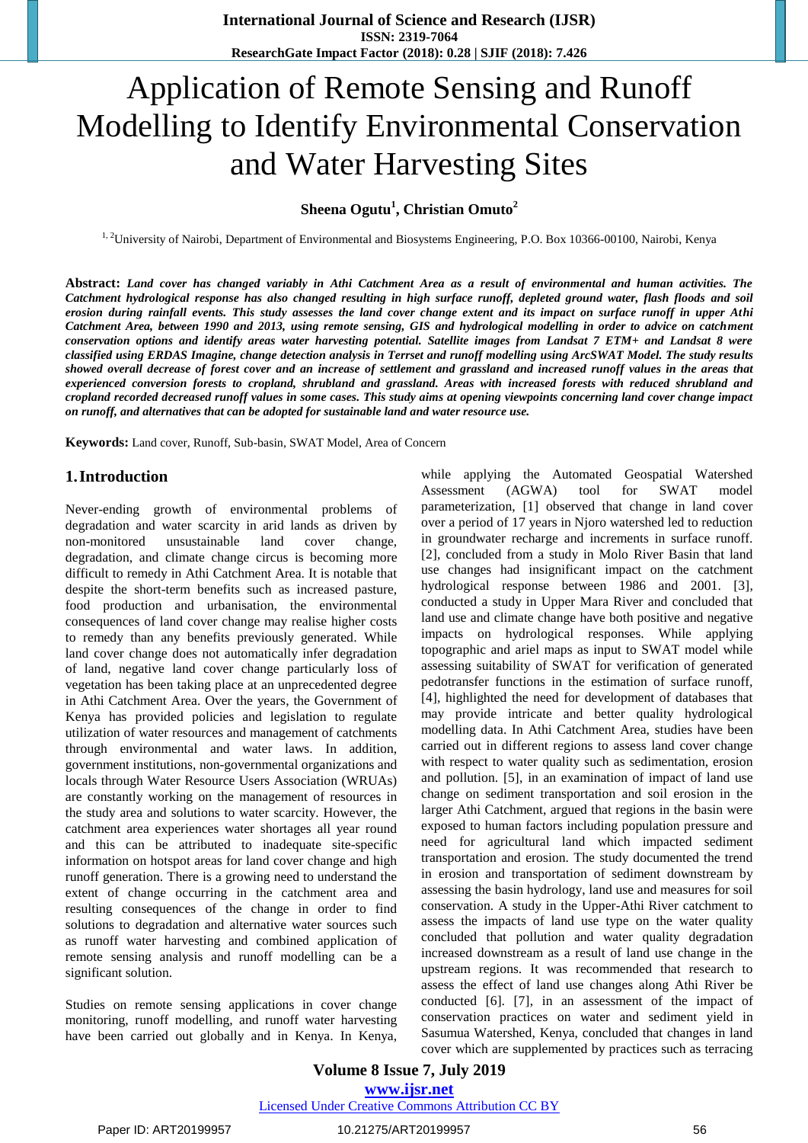# Application of Remote Sensing and Runoff Modelling to Identify Environmental Conservation and Water Harvesting Sites

**Sheena Ogutu<sup>1</sup> , Christian Omuto<sup>2</sup>**

<sup>1, 2</sup>University of Nairobi, Department of Environmental and Biosystems Engineering, P.O. Box 10366-00100, Nairobi, Kenya

**Abstract:** *Land cover has changed variably in Athi Catchment Area as a result of environmental and human activities. The Catchment hydrological response has also changed resulting in high surface runoff, depleted ground water, flash floods and soil erosion during rainfall events. This study assesses the land cover change extent and its impact on surface runoff in upper Athi Catchment Area, between 1990 and 2013, using remote sensing, GIS and hydrological modelling in order to advice on catchment conservation options and identify areas water harvesting potential. Satellite images from Landsat 7 ETM+ and Landsat 8 were classified using ERDAS Imagine, change detection analysis in Terrset and runoff modelling using ArcSWAT Model. The study results showed overall decrease of forest cover and an increase of settlement and grassland and increased runoff values in the areas that experienced conversion forests to cropland, shrubland and grassland. Areas with increased forests with reduced shrubland and cropland recorded decreased runoff values in some cases. This study aims at opening viewpoints concerning land cover change impact on runoff, and alternatives that can be adopted for sustainable land and water resource use.*

**Keywords:** Land cover, Runoff, Sub-basin, SWAT Model, Area of Concern

#### **1.Introduction**

Never-ending growth of environmental problems of degradation and water scarcity in arid lands as driven by non-monitored unsustainable land cover change, degradation, and climate change circus is becoming more difficult to remedy in Athi Catchment Area. It is notable that despite the short-term benefits such as increased pasture, food production and urbanisation, the environmental consequences of land cover change may realise higher costs to remedy than any benefits previously generated. While land cover change does not automatically infer degradation of land, negative land cover change particularly loss of vegetation has been taking place at an unprecedented degree in Athi Catchment Area. Over the years, the Government of Kenya has provided policies and legislation to regulate utilization of water resources and management of catchments through environmental and water laws. In addition, government institutions, non-governmental organizations and locals through Water Resource Users Association (WRUAs) are constantly working on the management of resources in the study area and solutions to water scarcity. However, the catchment area experiences water shortages all year round and this can be attributed to inadequate site-specific information on hotspot areas for land cover change and high runoff generation. There is a growing need to understand the extent of change occurring in the catchment area and resulting consequences of the change in order to find solutions to degradation and alternative water sources such as runoff water harvesting and combined application of remote sensing analysis and runoff modelling can be a significant solution.

Studies on remote sensing applications in cover change monitoring, runoff modelling, and runoff water harvesting have been carried out globally and in Kenya. In Kenya,

while applying the Automated Geospatial Watershed Assessment (AGWA) tool for SWAT model parameterization, [1] observed that change in land cover over a period of 17 years in Njoro watershed led to reduction in groundwater recharge and increments in surface runoff. [2], concluded from a study in Molo River Basin that land use changes had insignificant impact on the catchment hydrological response between 1986 and 2001. [3], conducted a study in Upper Mara River and concluded that land use and climate change have both positive and negative impacts on hydrological responses. While applying topographic and ariel maps as input to SWAT model while assessing suitability of SWAT for verification of generated pedotransfer functions in the estimation of surface runoff, [4], highlighted the need for development of databases that may provide intricate and better quality hydrological modelling data. In Athi Catchment Area, studies have been carried out in different regions to assess land cover change with respect to water quality such as sedimentation, erosion and pollution. [5], in an examination of impact of land use change on sediment transportation and soil erosion in the larger Athi Catchment, argued that regions in the basin were exposed to human factors including population pressure and need for agricultural land which impacted sediment transportation and erosion. The study documented the trend in erosion and transportation of sediment downstream by assessing the basin hydrology, land use and measures for soil conservation. A study in the Upper-Athi River catchment to assess the impacts of land use type on the water quality concluded that pollution and water quality degradation increased downstream as a result of land use change in the upstream regions. It was recommended that research to assess the effect of land use changes along Athi River be conducted [6]. [7], in an assessment of the impact of conservation practices on water and sediment yield in Sasumua Watershed, Kenya, concluded that changes in land cover which are supplemented by practices such as terracing

**Volume 8 Issue 7, July 2019 www.ijsr.net** Licensed Under Creative Commons Attribution CC BY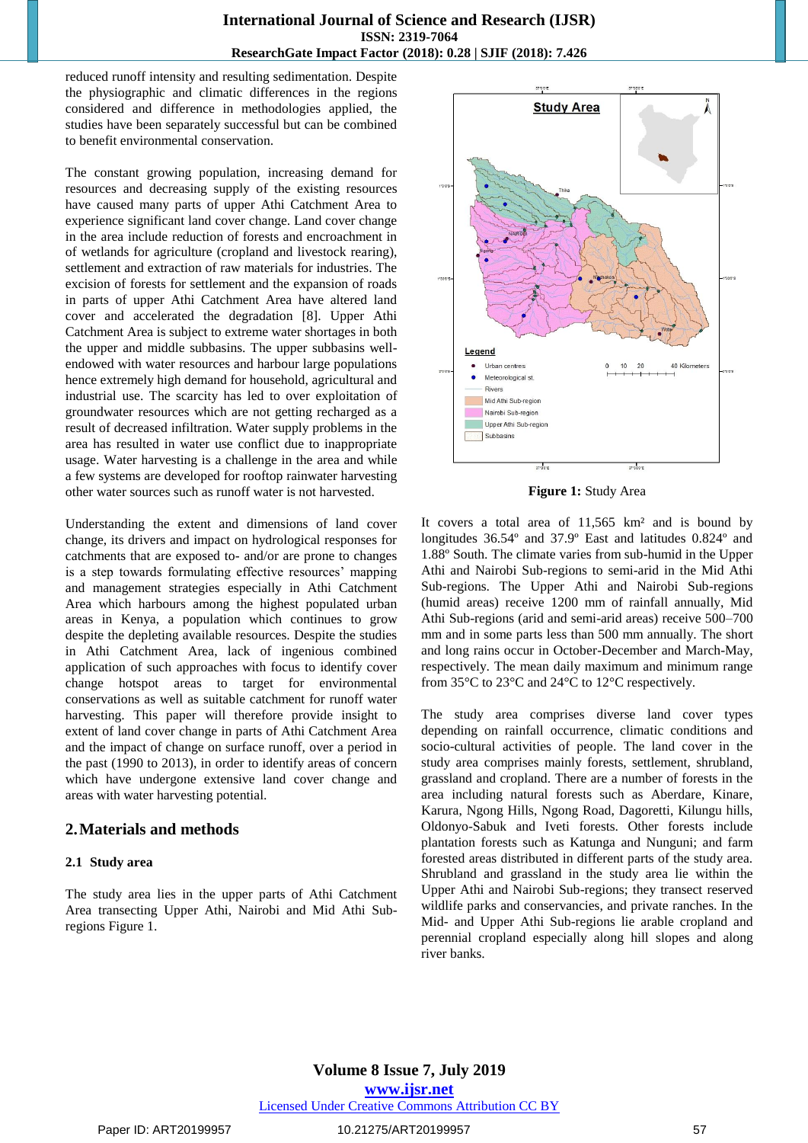#### **International Journal of Science and Research (IJSR) ISSN: 2319-7064 ResearchGate Impact Factor (2018): 0.28 | SJIF (2018): 7.426**

reduced runoff intensity and resulting sedimentation. Despite the physiographic and climatic differences in the regions considered and difference in methodologies applied, the studies have been separately successful but can be combined to benefit environmental conservation.

The constant growing population, increasing demand for resources and decreasing supply of the existing resources have caused many parts of upper Athi Catchment Area to experience significant land cover change. Land cover change in the area include reduction of forests and encroachment in of wetlands for agriculture (cropland and livestock rearing), settlement and extraction of raw materials for industries. The excision of forests for settlement and the expansion of roads in parts of upper Athi Catchment Area have altered land cover and accelerated the degradation [8]. Upper Athi Catchment Area is subject to extreme water shortages in both the upper and middle subbasins. The upper subbasins wellendowed with water resources and harbour large populations hence extremely high demand for household, agricultural and industrial use. The scarcity has led to over exploitation of groundwater resources which are not getting recharged as a result of decreased infiltration. Water supply problems in the area has resulted in water use conflict due to inappropriate usage. Water harvesting is a challenge in the area and while a few systems are developed for rooftop rainwater harvesting other water sources such as runoff water is not harvested.

Understanding the extent and dimensions of land cover change, its drivers and impact on hydrological responses for catchments that are exposed to- and/or are prone to changes is a step towards formulating effective resources' mapping and management strategies especially in Athi Catchment Area which harbours among the highest populated urban areas in Kenya, a population which continues to grow despite the depleting available resources. Despite the studies in Athi Catchment Area, lack of ingenious combined application of such approaches with focus to identify cover change hotspot areas to target for environmental conservations as well as suitable catchment for runoff water harvesting. This paper will therefore provide insight to extent of land cover change in parts of Athi Catchment Area and the impact of change on surface runoff, over a period in the past (1990 to 2013), in order to identify areas of concern which have undergone extensive land cover change and areas with water harvesting potential.

# **2.Materials and methods**

#### **2.1 Study area**

The study area lies in the upper parts of Athi Catchment Area transecting Upper Athi, Nairobi and Mid Athi Subregions Figure 1.



**Figure 1:** Study Area

It covers a total area of 11,565 km² and is bound by longitudes 36.54º and 37.9º East and latitudes 0.824º and 1.88º South. The climate varies from sub-humid in the Upper Athi and Nairobi Sub-regions to semi-arid in the Mid Athi Sub-regions. The Upper Athi and Nairobi Sub-regions (humid areas) receive 1200 mm of rainfall annually, Mid Athi Sub-regions (arid and semi-arid areas) receive 500–700 mm and in some parts less than 500 mm annually. The short and long rains occur in October-December and March-May, respectively. The mean daily maximum and minimum range from 35°C to 23°C and 24°C to 12°C respectively.

The study area comprises diverse land cover types depending on rainfall occurrence, climatic conditions and socio-cultural activities of people. The land cover in the study area comprises mainly forests, settlement, shrubland, grassland and cropland. There are a number of forests in the area including natural forests such as Aberdare, Kinare, Karura, Ngong Hills, Ngong Road, Dagoretti, Kilungu hills, Oldonyo-Sabuk and Iveti forests. Other forests include plantation forests such as Katunga and Nunguni; and farm forested areas distributed in different parts of the study area. Shrubland and grassland in the study area lie within the Upper Athi and Nairobi Sub-regions; they transect reserved wildlife parks and conservancies, and private ranches. In the Mid- and Upper Athi Sub-regions lie arable cropland and perennial cropland especially along hill slopes and along river banks.

# **Volume 8 Issue 7, July 2019**

**www.ijsr.net**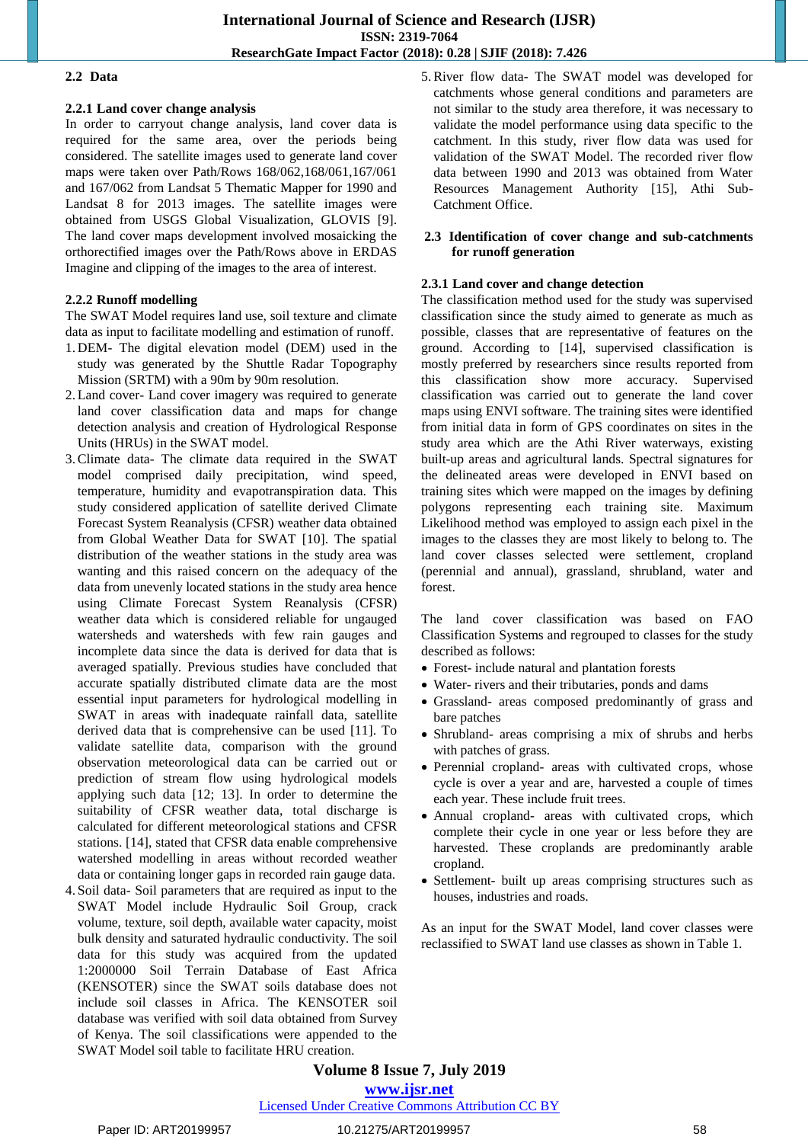#### **2.2 Data**

#### **2.2.1 Land cover change analysis**

In order to carryout change analysis, land cover data is required for the same area, over the periods being considered. The satellite images used to generate land cover maps were taken over Path/Rows 168/062,168/061,167/061 and 167/062 from Landsat 5 Thematic Mapper for 1990 and Landsat 8 for 2013 images. The satellite images were obtained from USGS Global Visualization, GLOVIS [9]. The land cover maps development involved mosaicking the orthorectified images over the Path/Rows above in ERDAS Imagine and clipping of the images to the area of interest.

#### **2.2.2 Runoff modelling**

The SWAT Model requires land use, soil texture and climate data as input to facilitate modelling and estimation of runoff.

- 1. DEM- The digital elevation model (DEM) used in the study was generated by the Shuttle Radar Topography Mission (SRTM) with a 90m by 90m resolution.
- 2.Land cover- Land cover imagery was required to generate land cover classification data and maps for change detection analysis and creation of Hydrological Response Units (HRUs) in the SWAT model.
- 3.Climate data- The climate data required in the SWAT model comprised daily precipitation, wind speed, temperature, humidity and evapotranspiration data. This study considered application of satellite derived Climate Forecast System Reanalysis (CFSR) weather data obtained from Global Weather Data for SWAT [10]. The spatial distribution of the weather stations in the study area was wanting and this raised concern on the adequacy of the data from unevenly located stations in the study area hence using Climate Forecast System Reanalysis (CFSR) weather data which is considered reliable for ungauged watersheds and watersheds with few rain gauges and incomplete data since the data is derived for data that is averaged spatially. Previous studies have concluded that accurate spatially distributed climate data are the most essential input parameters for hydrological modelling in SWAT in areas with inadequate rainfall data, satellite derived data that is comprehensive can be used [11]. To validate satellite data, comparison with the ground observation meteorological data can be carried out or prediction of stream flow using hydrological models applying such data [12; 13]. In order to determine the suitability of CFSR weather data, total discharge is calculated for different meteorological stations and CFSR stations. [14], stated that CFSR data enable comprehensive watershed modelling in areas without recorded weather data or containing longer gaps in recorded rain gauge data.
- 4. Soil data- Soil parameters that are required as input to the SWAT Model include Hydraulic Soil Group, crack volume, texture, soil depth, available water capacity, moist bulk density and saturated hydraulic conductivity. The soil data for this study was acquired from the updated 1:2000000 Soil Terrain Database of East Africa (KENSOTER) since the SWAT soils database does not include soil classes in Africa. The KENSOTER soil database was verified with soil data obtained from Survey of Kenya. The soil classifications were appended to the SWAT Model soil table to facilitate HRU creation.

5.River flow data- The SWAT model was developed for catchments whose general conditions and parameters are not similar to the study area therefore, it was necessary to validate the model performance using data specific to the catchment. In this study, river flow data was used for validation of the SWAT Model. The recorded river flow data between 1990 and 2013 was obtained from Water Resources Management Authority [15], Athi Sub-Catchment Office.

#### **2.3 Identification of cover change and sub-catchments for runoff generation**

#### **2.3.1 Land cover and change detection**

The classification method used for the study was supervised classification since the study aimed to generate as much as possible, classes that are representative of features on the ground. According to [14], supervised classification is mostly preferred by researchers since results reported from this classification show more accuracy. Supervised classification was carried out to generate the land cover maps using ENVI software. The training sites were identified from initial data in form of GPS coordinates on sites in the study area which are the Athi River waterways, existing built-up areas and agricultural lands. Spectral signatures for the delineated areas were developed in ENVI based on training sites which were mapped on the images by defining polygons representing each training site. Maximum Likelihood method was employed to assign each pixel in the images to the classes they are most likely to belong to. The land cover classes selected were settlement, cropland (perennial and annual), grassland, shrubland, water and forest.

The land cover classification was based on FAO Classification Systems and regrouped to classes for the study described as follows:

- Forest- include natural and plantation forests
- Water- rivers and their tributaries, ponds and dams
- Grassland- areas composed predominantly of grass and bare patches
- Shrubland- areas comprising a mix of shrubs and herbs with patches of grass.
- Perennial cropland- areas with cultivated crops, whose cycle is over a year and are, harvested a couple of times each year. These include fruit trees.
- Annual cropland- areas with cultivated crops, which complete their cycle in one year or less before they are harvested. These croplands are predominantly arable cropland.
- Settlement- built up areas comprising structures such as houses, industries and roads.

As an input for the SWAT Model, land cover classes were reclassified to SWAT land use classes as shown in Table 1.

# **Volume 8 Issue 7, July 2019**

**www.ijsr.net**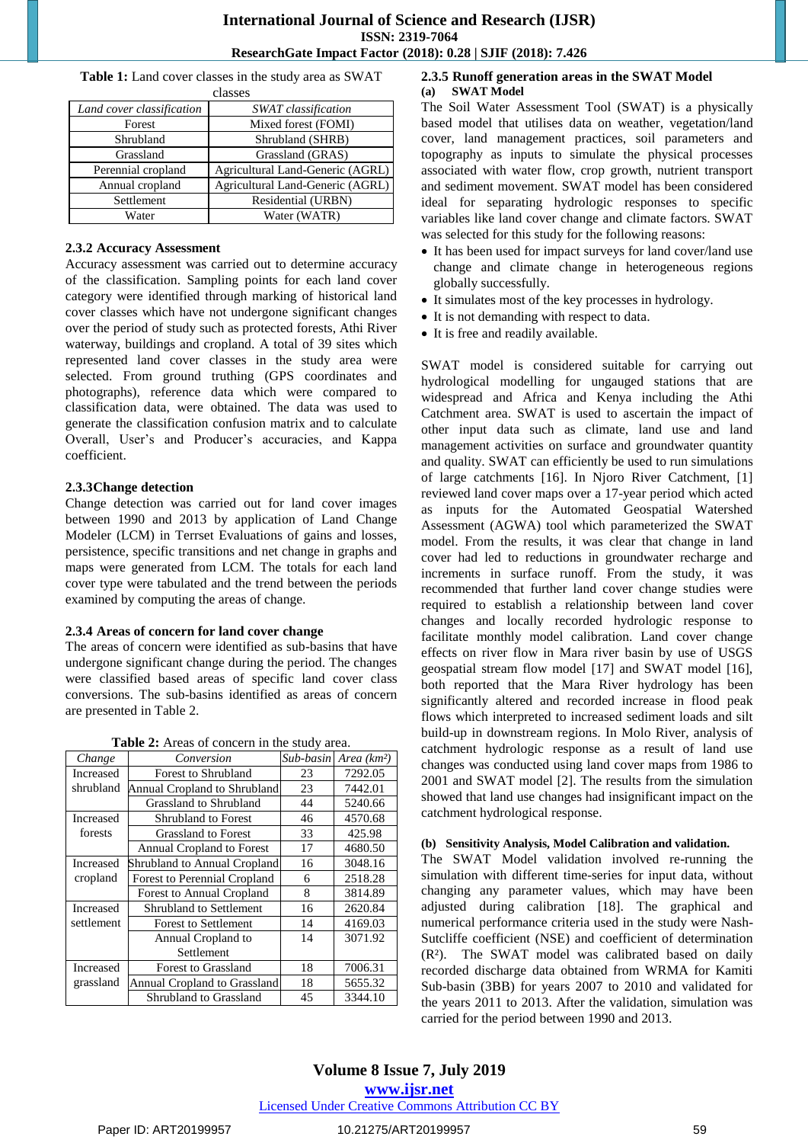**Table 1:** Land cover classes in the study area as SWAT classes

| Land cover classification | SWAT classification              |  |  |
|---------------------------|----------------------------------|--|--|
| Forest                    | Mixed forest (FOMI)              |  |  |
| Shrubland                 | Shrubland (SHRB)                 |  |  |
| Grassland                 | Grassland (GRAS)                 |  |  |
| Perennial cropland        | Agricultural Land-Generic (AGRL) |  |  |
| Annual cropland           | Agricultural Land-Generic (AGRL) |  |  |
| Settlement                | Residential (URBN)               |  |  |
| Water                     | Water (WATR)                     |  |  |

#### **2.3.2 Accuracy Assessment**

Accuracy assessment was carried out to determine accuracy of the classification. Sampling points for each land cover category were identified through marking of historical land cover classes which have not undergone significant changes over the period of study such as protected forests, Athi River waterway, buildings and cropland. A total of 39 sites which represented land cover classes in the study area were selected. From ground truthing (GPS coordinates and photographs), reference data which were compared to classification data, were obtained. The data was used to generate the classification confusion matrix and to calculate Overall, User's and Producer's accuracies, and Kappa coefficient.

#### **2.3.3Change detection**

Change detection was carried out for land cover images between 1990 and 2013 by application of Land Change Modeler (LCM) in Terrset Evaluations of gains and losses, persistence, specific transitions and net change in graphs and maps were generated from LCM. The totals for each land cover type were tabulated and the trend between the periods examined by computing the areas of change.

#### **2.3.4 Areas of concern for land cover change**

The areas of concern were identified as sub-basins that have undergone significant change during the period. The changes were classified based areas of specific land cover class conversions. The sub-basins identified as areas of concern are presented in Table 2.

**Table 2:** Areas of concern in the study area.

| Change     | Conversion                          | Sub-basin | Area $(km^2)$ |
|------------|-------------------------------------|-----------|---------------|
| Increased  | Forest to Shrubland                 | 23        | 7292.05       |
| shrubland  | Annual Cropland to Shrubland        | 23        | 7442.01       |
|            | Grassland to Shrubland              | 44        | 5240.66       |
| Increased  | <b>Shrubland to Forest</b>          | 46        | 4570.68       |
| forests    | <b>Grassland to Forest</b>          | 33        | 425.98        |
|            | Annual Cropland to Forest           | 17        | 4680.50       |
| Increased  | Shrubland to Annual Cropland        | 16        | 3048.16       |
| cropland   | <b>Forest to Perennial Cropland</b> | 6         | 2518.28       |
|            | <b>Forest to Annual Cropland</b>    | 8         | 3814.89       |
| Increased  | <b>Shrubland to Settlement</b>      | 16        | 2620.84       |
| settlement | <b>Forest to Settlement</b>         | 14        | 4169.03       |
|            | Annual Cropland to                  | 14        | 3071.92       |
|            | Settlement                          |           |               |
| Increased  | <b>Forest to Grassland</b>          | 18        | 7006.31       |
| grassland  | Annual Cropland to Grassland        | 18        | 5655.32       |
|            | Shrubland to Grassland              | 45        | 3344.10       |

### **2.3.5 Runoff generation areas in the SWAT Model (a) SWAT Model**

The Soil Water Assessment Tool (SWAT) is a physically based model that utilises data on weather, vegetation/land cover, land management practices, soil parameters and topography as inputs to simulate the physical processes associated with water flow, crop growth, nutrient transport and sediment movement. SWAT model has been considered ideal for separating hydrologic responses to specific variables like land cover change and climate factors. SWAT was selected for this study for the following reasons:

- It has been used for impact surveys for land cover/land use change and climate change in heterogeneous regions globally successfully.
- It simulates most of the key processes in hydrology.
- It is not demanding with respect to data.
- It is free and readily available.

SWAT model is considered suitable for carrying out hydrological modelling for ungauged stations that are widespread and Africa and Kenya including the Athi Catchment area. SWAT is used to ascertain the impact of other input data such as climate, land use and land management activities on surface and groundwater quantity and quality. SWAT can efficiently be used to run simulations of large catchments [16]. In Njoro River Catchment, [1] reviewed land cover maps over a 17-year period which acted as inputs for the Automated Geospatial Watershed Assessment (AGWA) tool which parameterized the SWAT model. From the results, it was clear that change in land cover had led to reductions in groundwater recharge and increments in surface runoff. From the study, it was recommended that further land cover change studies were required to establish a relationship between land cover changes and locally recorded hydrologic response to facilitate monthly model calibration. Land cover change effects on river flow in Mara river basin by use of USGS geospatial stream flow model [17] and SWAT model [16], both reported that the Mara River hydrology has been significantly altered and recorded increase in flood peak flows which interpreted to increased sediment loads and silt build-up in downstream regions. In Molo River, analysis of catchment hydrologic response as a result of land use changes was conducted using land cover maps from 1986 to 2001 and SWAT model [2]. The results from the simulation showed that land use changes had insignificant impact on the catchment hydrological response.

#### **(b) Sensitivity Analysis, Model Calibration and validation.**

The SWAT Model validation involved re-running the simulation with different time-series for input data, without changing any parameter values, which may have been adjusted during calibration [18]. The graphical and numerical performance criteria used in the study were Nash-Sutcliffe coefficient (NSE) and coefficient of determination (R²). The SWAT model was calibrated based on daily recorded discharge data obtained from WRMA for Kamiti Sub-basin (3BB) for years 2007 to 2010 and validated for the years 2011 to 2013. After the validation, simulation was carried for the period between 1990 and 2013.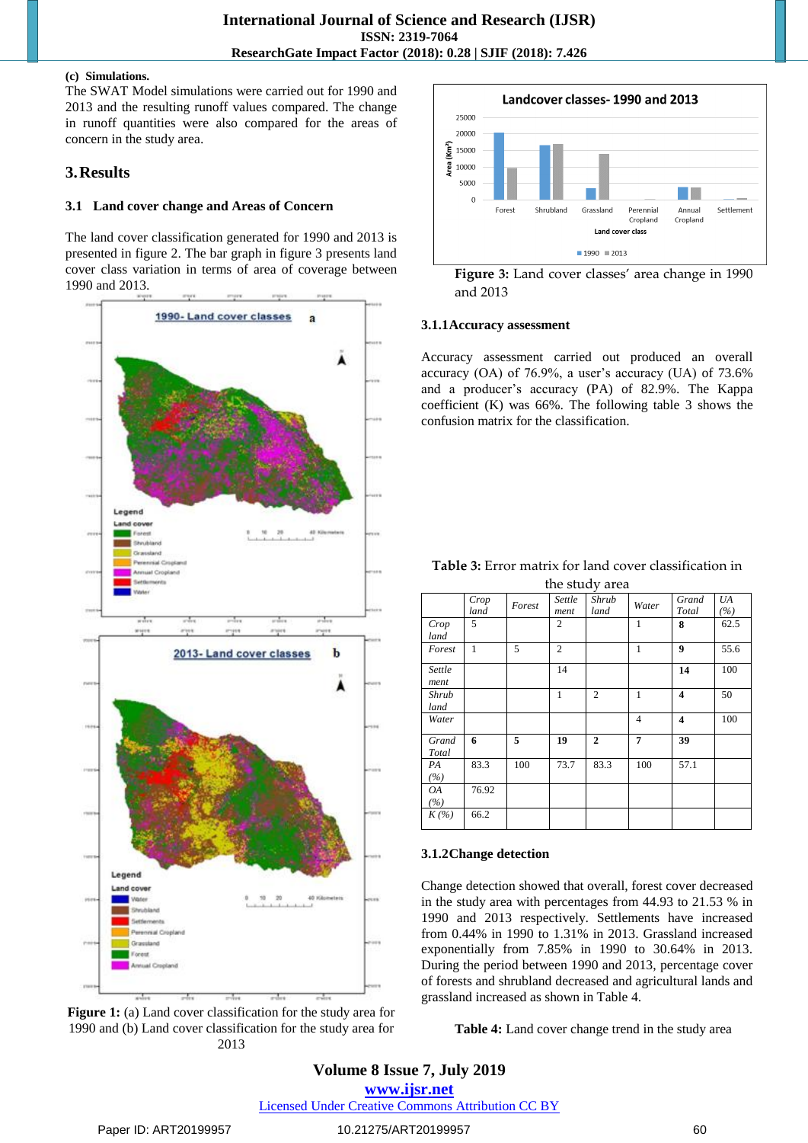#### **(c) Simulations.**

The SWAT Model simulations were carried out for 1990 and 2013 and the resulting runoff values compared. The change in runoff quantities were also compared for the areas of concern in the study area.

### **3.Results**

#### **3.1 Land cover change and Areas of Concern**

The land cover classification generated for 1990 and 2013 is presented in figure 2. The bar graph in figure 3 presents land cover class variation in terms of area of coverage between 1990 and 2013.



**Figure 1:** (a) Land cover classification for the study area for 1990 and (b) Land cover classification for the study area for 2013



**Figure 3:** Land cover classes' area change in 1990 and 2013

#### **3.1.1Accuracy assessment**

Accuracy assessment carried out produced an overall accuracy (OA) of 76.9%, a user's accuracy (UA) of 73.6% and a producer's accuracy (PA) of 82.9%. The Kappa coefficient (K) was 66%. The following table 3 shows the confusion matrix for the classification.

| <b>Table 3:</b> Error matrix for land cover classification in |
|---------------------------------------------------------------|
| the chidy area                                                |

| the study area |              |        |                |                |                |                         |           |
|----------------|--------------|--------|----------------|----------------|----------------|-------------------------|-----------|
|                | Crop<br>land | Forest | Settle<br>ment | Shrub<br>land  | Water          | Grand<br>Total          | UA<br>(%) |
| Crop<br>land   | 5            |        | 2              |                | 1              | 8                       | 62.5      |
| Forest         | 1            | 5      | $\overline{c}$ |                | 1              | $\boldsymbol{9}$        | 55.6      |
| Settle<br>ment |              |        | 14             |                |                | 14                      | 100       |
| Shrub<br>land  |              |        | 1              | $\overline{2}$ | 1              | 4                       | 50        |
| Water          |              |        |                |                | $\overline{4}$ | $\overline{\mathbf{4}}$ | 100       |
| Grand<br>Total | 6            | 5      | 19             | $\mathbf{2}$   | 7              | 39                      |           |
| PA<br>(%)      | 83.3         | 100    | 73.7           | 83.3           | 100            | 57.1                    |           |
| ΟA<br>(%)      | 76.92        |        |                |                |                |                         |           |
| $K(\%)$        | 66.2         |        |                |                |                |                         |           |

#### **3.1.2Change detection**

Change detection showed that overall, forest cover decreased in the study area with percentages from 44.93 to 21.53 % in 1990 and 2013 respectively. Settlements have increased from 0.44% in 1990 to 1.31% in 2013. Grassland increased exponentially from 7.85% in 1990 to 30.64% in 2013. During the period between 1990 and 2013, percentage cover of forests and shrubland decreased and agricultural lands and grassland increased as shown in Table 4.

**Table 4:** Land cover change trend in the study area

# **Volume 8 Issue 7, July 2019 www.ijsr.net**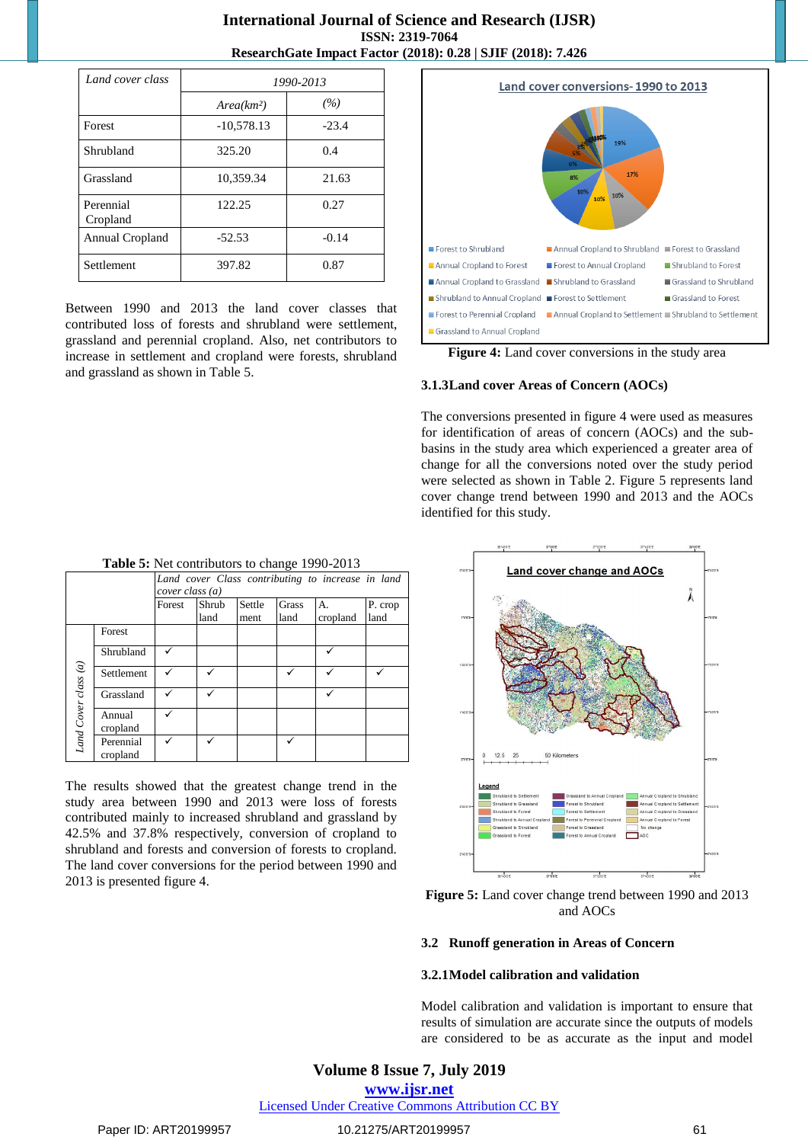| Land cover class      | 1990-2013              |         |  |
|-----------------------|------------------------|---------|--|
|                       | Area(km <sup>2</sup> ) | (%)     |  |
| Forest                | $-10,578.13$           | $-23.4$ |  |
| Shrubland             | 325.20                 | 0.4     |  |
| Grassland             | 10,359.34              | 21.63   |  |
| Perennial<br>Cropland | 122.25                 | 0.27    |  |
| Annual Cropland       | $-52.53$               | $-0.14$ |  |
| Settlement            | 397.82                 | 0.87    |  |

Between 1990 and 2013 the land cover classes that contributed loss of forests and shrubland were settlement, grassland and perennial cropland. Also, net contributors to increase in settlement and cropland were forests, shrubland and grassland as shown in Table 5.



**Figure 4:** Land cover conversions in the study area

#### **3.1.3Land cover Areas of Concern (AOCs)**

The conversions presented in figure 4 were used as measures for identification of areas of concern (AOCs) and the subbasins in the study area which experienced a greater area of change for all the conversions noted over the study period were selected as shown in Table 2. Figure 5 represents land cover change trend between 1990 and 2013 and the AOCs identified for this study.



The results showed that the greatest change trend in the study area between 1990 and 2013 were loss of forests contributed mainly to increased shrubland and grassland by 42.5% and 37.8% respectively, conversion of cropland to shrubland and forests and conversion of forests to cropland. The land cover conversions for the period between 1990 and 2013 is presented figure 4.



**Figure 5:** Land cover change trend between 1990 and 2013 and AOCs

#### **3.2 Runoff generation in Areas of Concern**

#### **3.2.1Model calibration and validation**

Model calibration and validation is important to ensure that results of simulation are accurate since the outputs of models are considered to be as accurate as the input and model

#### **Volume 8 Issue 7, July 2019**

**www.ijsr.net**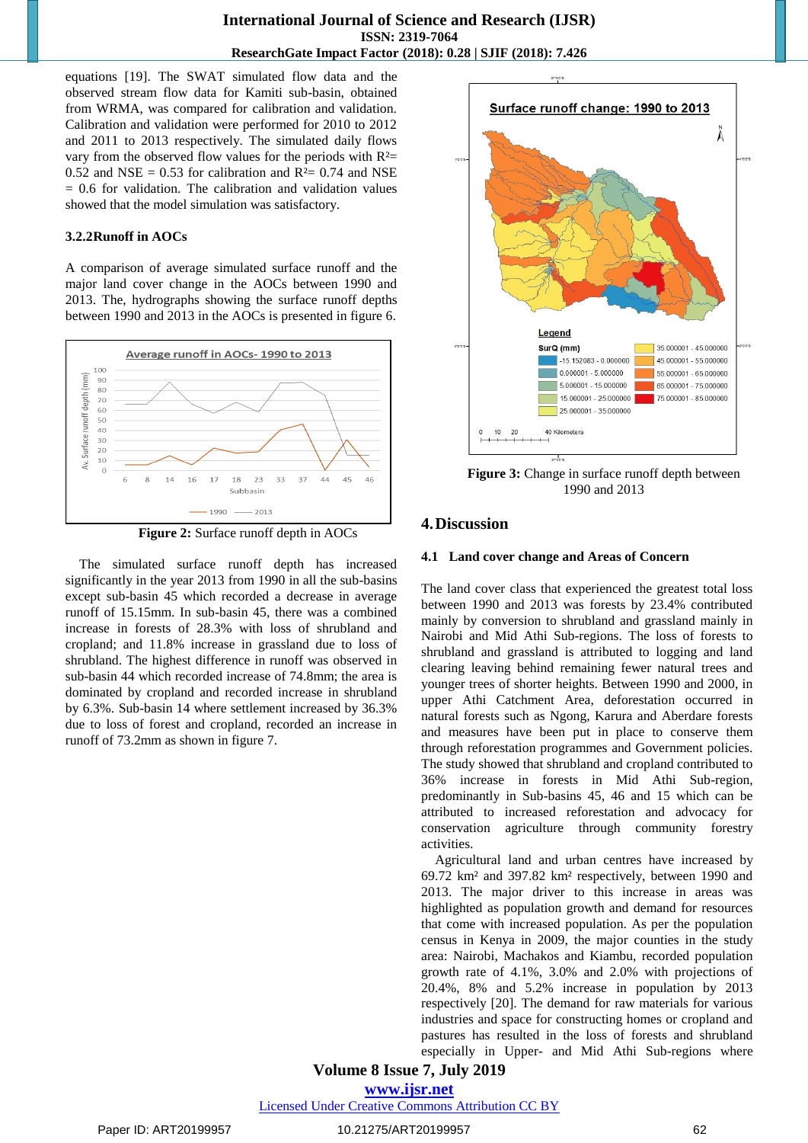equations [19]. The SWAT simulated flow data and the observed stream flow data for Kamiti sub-basin, obtained from WRMA, was compared for calibration and validation. Calibration and validation were performed for 2010 to 2012 and 2011 to 2013 respectively. The simulated daily flows vary from the observed flow values for the periods with  $R<sup>2</sup>$ 0.52 and NSE = 0.53 for calibration and  $R<sup>2</sup>= 0.74$  and NSE  $= 0.6$  for validation. The calibration and validation values showed that the model simulation was satisfactory.

#### **3.2.2Runoff in AOCs**

A comparison of average simulated surface runoff and the major land cover change in the AOCs between 1990 and 2013. The, hydrographs showing the surface runoff depths between 1990 and 2013 in the AOCs is presented in figure 6.



**Figure 2:** Surface runoff depth in AOCs

The simulated surface runoff depth has increased significantly in the year 2013 from 1990 in all the sub-basins except sub-basin 45 which recorded a decrease in average runoff of 15.15mm. In sub-basin 45, there was a combined increase in forests of 28.3% with loss of shrubland and cropland; and 11.8% increase in grassland due to loss of shrubland. The highest difference in runoff was observed in sub-basin 44 which recorded increase of 74.8mm; the area is dominated by cropland and recorded increase in shrubland by 6.3%. Sub-basin 14 where settlement increased by 36.3% due to loss of forest and cropland, recorded an increase in runoff of 73.2mm as shown in figure 7.



#### **4.Discussion**

#### **4.1 Land cover change and Areas of Concern**

The land cover class that experienced the greatest total loss between 1990 and 2013 was forests by 23.4% contributed mainly by conversion to shrubland and grassland mainly in Nairobi and Mid Athi Sub-regions. The loss of forests to shrubland and grassland is attributed to logging and land clearing leaving behind remaining fewer natural trees and younger trees of shorter heights. Between 1990 and 2000, in upper Athi Catchment Area, deforestation occurred in natural forests such as Ngong, Karura and Aberdare forests and measures have been put in place to conserve them through reforestation programmes and Government policies. The study showed that shrubland and cropland contributed to 36% increase in forests in Mid Athi Sub-region, predominantly in Sub-basins 45, 46 and 15 which can be attributed to increased reforestation and advocacy for conservation agriculture through community forestry activities.

Agricultural land and urban centres have increased by 69.72 km² and 397.82 km² respectively, between 1990 and 2013. The major driver to this increase in areas was highlighted as population growth and demand for resources that come with increased population. As per the population census in Kenya in 2009, the major counties in the study area: Nairobi, Machakos and Kiambu, recorded population growth rate of 4.1%, 3.0% and 2.0% with projections of 20.4%, 8% and 5.2% increase in population by 2013 respectively [20]. The demand for raw materials for various industries and space for constructing homes or cropland and pastures has resulted in the loss of forests and shrubland especially in Upper- and Mid Athi Sub-regions where

**Volume 8 Issue 7, July 2019**

**www.ijsr.net**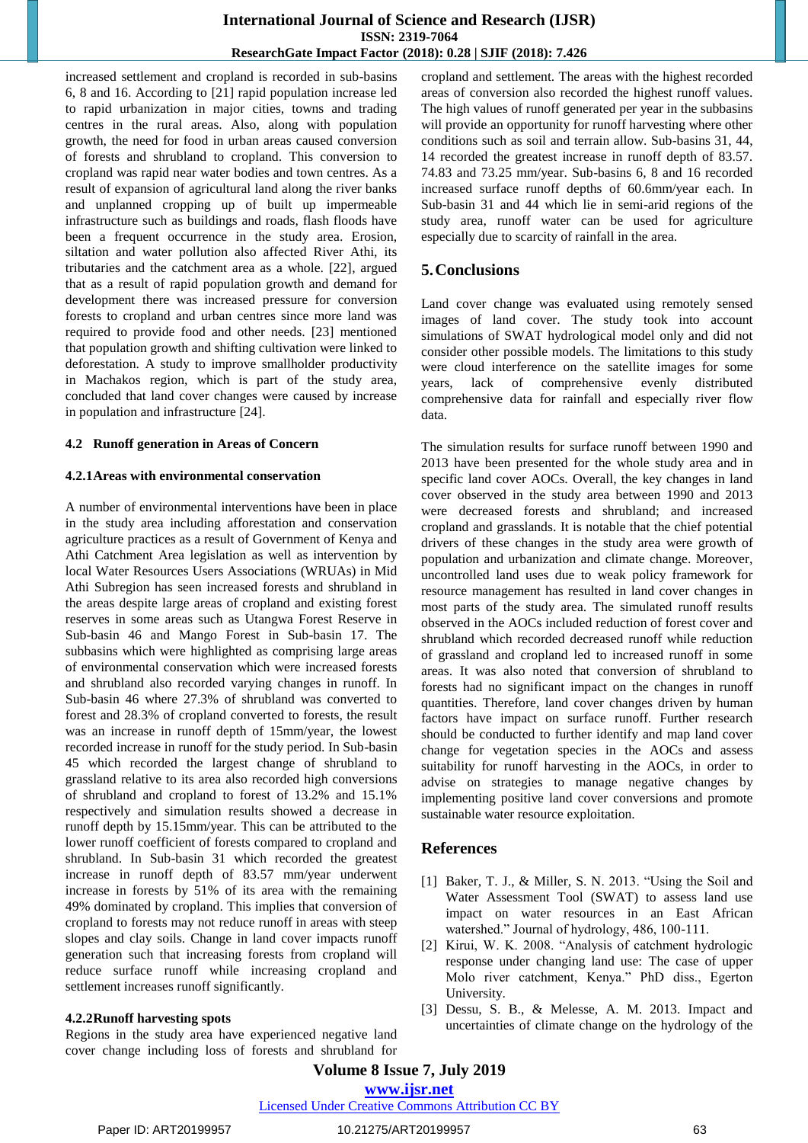### **International Journal of Science and Research (IJSR) ISSN: 2319-7064 ResearchGate Impact Factor (2018): 0.28 | SJIF (2018): 7.426**

increased settlement and cropland is recorded in sub-basins 6, 8 and 16. According to [21] rapid population increase led to rapid urbanization in major cities, towns and trading centres in the rural areas. Also, along with population growth, the need for food in urban areas caused conversion of forests and shrubland to cropland. This conversion to cropland was rapid near water bodies and town centres. As a result of expansion of agricultural land along the river banks and unplanned cropping up of built up impermeable infrastructure such as buildings and roads, flash floods have been a frequent occurrence in the study area. Erosion, siltation and water pollution also affected River Athi, its tributaries and the catchment area as a whole. [22], argued that as a result of rapid population growth and demand for development there was increased pressure for conversion forests to cropland and urban centres since more land was required to provide food and other needs. [23] mentioned that population growth and shifting cultivation were linked to deforestation. A study to improve smallholder productivity in Machakos region, which is part of the study area, concluded that land cover changes were caused by increase in population and infrastructure [24].

#### **4.2 Runoff generation in Areas of Concern**

#### **4.2.1Areas with environmental conservation**

A number of environmental interventions have been in place in the study area including afforestation and conservation agriculture practices as a result of Government of Kenya and Athi Catchment Area legislation as well as intervention by local Water Resources Users Associations (WRUAs) in Mid Athi Subregion has seen increased forests and shrubland in the areas despite large areas of cropland and existing forest reserves in some areas such as Utangwa Forest Reserve in Sub-basin 46 and Mango Forest in Sub-basin 17. The subbasins which were highlighted as comprising large areas of environmental conservation which were increased forests and shrubland also recorded varying changes in runoff. In Sub-basin 46 where 27.3% of shrubland was converted to forest and 28.3% of cropland converted to forests, the result was an increase in runoff depth of 15mm/year, the lowest recorded increase in runoff for the study period. In Sub-basin 45 which recorded the largest change of shrubland to grassland relative to its area also recorded high conversions of shrubland and cropland to forest of 13.2% and 15.1% respectively and simulation results showed a decrease in runoff depth by 15.15mm/year. This can be attributed to the lower runoff coefficient of forests compared to cropland and shrubland. In Sub-basin 31 which recorded the greatest increase in runoff depth of 83.57 mm/year underwent increase in forests by 51% of its area with the remaining 49% dominated by cropland. This implies that conversion of cropland to forests may not reduce runoff in areas with steep slopes and clay soils. Change in land cover impacts runoff generation such that increasing forests from cropland will reduce surface runoff while increasing cropland and settlement increases runoff significantly.

#### **4.2.2Runoff harvesting spots**

Regions in the study area have experienced negative land cover change including loss of forests and shrubland for cropland and settlement. The areas with the highest recorded areas of conversion also recorded the highest runoff values. The high values of runoff generated per year in the subbasins will provide an opportunity for runoff harvesting where other conditions such as soil and terrain allow. Sub-basins 31, 44, 14 recorded the greatest increase in runoff depth of 83.57. 74.83 and 73.25 mm/year. Sub-basins 6, 8 and 16 recorded increased surface runoff depths of 60.6mm/year each. In Sub-basin 31 and 44 which lie in semi-arid regions of the study area, runoff water can be used for agriculture especially due to scarcity of rainfall in the area.

#### **5.Conclusions**

Land cover change was evaluated using remotely sensed images of land cover. The study took into account simulations of SWAT hydrological model only and did not consider other possible models. The limitations to this study were cloud interference on the satellite images for some years, lack of comprehensive evenly distributed comprehensive data for rainfall and especially river flow data.

The simulation results for surface runoff between 1990 and 2013 have been presented for the whole study area and in specific land cover AOCs. Overall, the key changes in land cover observed in the study area between 1990 and 2013 were decreased forests and shrubland; and increased cropland and grasslands. It is notable that the chief potential drivers of these changes in the study area were growth of population and urbanization and climate change. Moreover, uncontrolled land uses due to weak policy framework for resource management has resulted in land cover changes in most parts of the study area. The simulated runoff results observed in the AOCs included reduction of forest cover and shrubland which recorded decreased runoff while reduction of grassland and cropland led to increased runoff in some areas. It was also noted that conversion of shrubland to forests had no significant impact on the changes in runoff quantities. Therefore, land cover changes driven by human factors have impact on surface runoff. Further research should be conducted to further identify and map land cover change for vegetation species in the AOCs and assess suitability for runoff harvesting in the AOCs, in order to advise on strategies to manage negative changes by implementing positive land cover conversions and promote sustainable water resource exploitation.

#### **References**

- [1] Baker, T. J., & Miller, S. N. 2013. "Using the Soil and Water Assessment Tool (SWAT) to assess land use impact on water resources in an East African watershed." Journal of hydrology, 486, 100-111.
- [2] Kirui, W. K. 2008. "Analysis of catchment hydrologic response under changing land use: The case of upper Molo river catchment, Kenya." PhD diss., Egerton University.
- [3] Dessu, S. B., & Melesse, A. M. 2013. Impact and uncertainties of climate change on the hydrology of the

# **Volume 8 Issue 7, July 2019**

**www.ijsr.net**